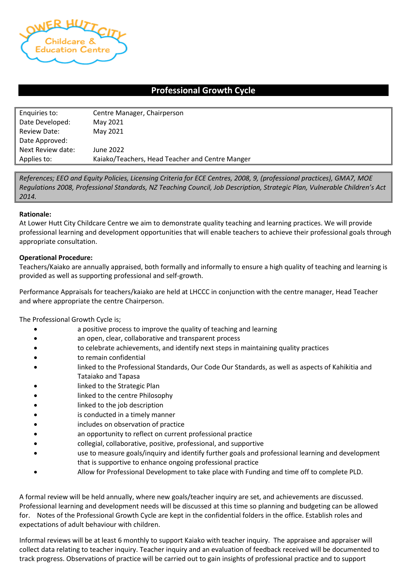

## **Professional Growth Cycle**

| Enquiries to:       | Centre Manager, Chairperson                     |
|---------------------|-------------------------------------------------|
| Date Developed:     | May 2021                                        |
| <b>Review Date:</b> | May 2021                                        |
| Date Approved:      |                                                 |
| Next Review date:   | June 2022                                       |
| Applies to:         | Kaiako/Teachers, Head Teacher and Centre Manger |

*References; EEO and Equity Policies, Licensing Criteria for ECE Centres, 2008, 9, (professional practices), GMA7, MOE Regulations 2008, Professional Standards, NZ Teaching Council, Job Description, Strategic Plan, Vulnerable Children's Act 2014.*

## **Rationale:**

At Lower Hutt City Childcare Centre we aim to demonstrate quality teaching and learning practices. We will provide professional learning and development opportunities that will enable teachers to achieve their professional goals through appropriate consultation.

## **Operational Procedure:**

Teachers/Kaiako are annually appraised, both formally and informally to ensure a high quality of teaching and learning is provided as well as supporting professional and self-growth.

Performance Appraisals for teachers/kaiako are held at LHCCC in conjunction with the centre manager, Head Teacher and where appropriate the centre Chairperson.

The Professional Growth Cycle is;

- a positive process to improve the quality of teaching and learning
- an open, clear, collaborative and transparent process
- to celebrate achievements, and identify next steps in maintaining quality practices
- to remain confidential
- linked to the Professional Standards, Our Code Our Standards, as well as aspects of Kahikitia and Tataiako and Tapasa
- linked to the Strategic Plan
- linked to the centre Philosophy
- linked to the job description
- is conducted in a timely manner
- includes on observation of practice
- an opportunity to reflect on current professional practice
- collegial, collaborative, positive, professional, and supportive
- use to measure goals/inquiry and identify further goals and professional learning and development that is supportive to enhance ongoing professional practice
- Allow for Professional Development to take place with Funding and time off to complete PLD.

A formal review will be held annually, where new goals/teacher inquiry are set, and achievements are discussed. Professional learning and development needs will be discussed at this time so planning and budgeting can be allowed for. Notes of the Professional Growth Cycle are kept in the confidential folders in the office. Establish roles and expectations of adult behaviour with children.

Informal reviews will be at least 6 monthly to support Kaiako with teacher inquiry. The appraisee and appraiser will collect data relating to teacher inquiry. Teacher inquiry and an evaluation of feedback received will be documented to track progress. Observations of practice will be carried out to gain insights of professional practice and to support